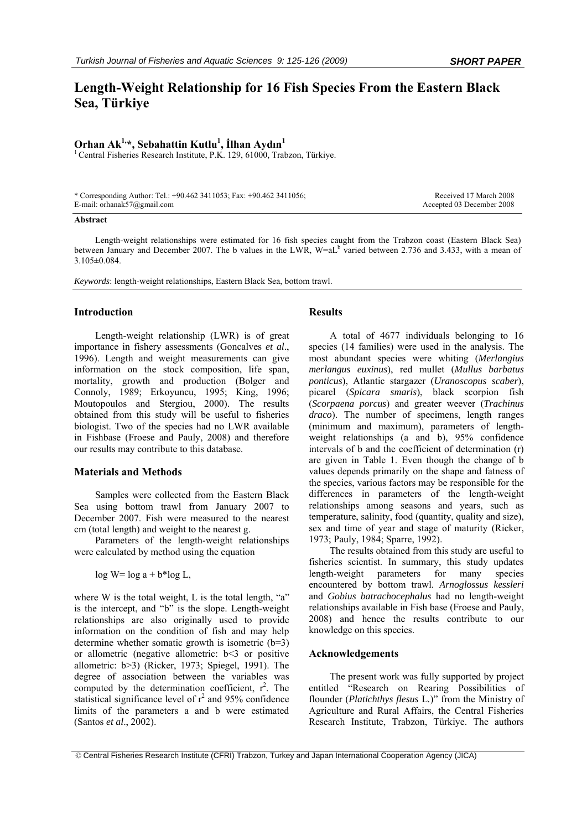# **Length-Weight Relationship for 16 Fish Species From the Eastern Black Sea, Türkiye**

## **Orhan Ak1,\*, Sebahattin Kutlu1 , İlhan Aydın<sup>1</sup>**

<sup>1</sup> Central Fisheries Research Institute, P.K. 129, 61000, Trabzon, Türkiye.

| * Corresponding Author: Tel.: $+90.462$ 3411053; Fax: $+90.462$ 3411056; | Received 17 March 2008    |
|--------------------------------------------------------------------------|---------------------------|
| E-mail: orhanak57@gmail.com                                              | Accepted 03 December 2008 |

#### **Abstract**

Length-weight relationships were estimated for 16 fish species caught from the Trabzon coast (Eastern Black Sea) between January and December 2007. The b values in the LWR,  $W= aL<sup>b</sup>$  varied between 2.736 and 3.433, with a mean of 3.105±0.084.

*Keywords*: length-weight relationships, Eastern Black Sea, bottom trawl.

#### **Introduction**

Length-weight relationship (LWR) is of great importance in fishery assessments (Goncalves *et al*., 1996). Length and weight measurements can give information on the stock composition, life span, mortality, growth and production (Bolger and Connoly, 1989; Erkoyuncu, 1995; King, 1996; Moutopoulos and Stergiou, 2000). The results obtained from this study will be useful to fisheries biologist. Two of the species had no LWR available in Fishbase (Froese and Pauly, 2008) and therefore our results may contribute to this database.

#### **Materials and Methods**

Samples were collected from the Eastern Black Sea using bottom trawl from January 2007 to December 2007. Fish were measured to the nearest cm (total length) and weight to the nearest g.

Parameters of the length-weight relationships were calculated by method using the equation

 $log W = log a + b*log L$ ,

where W is the total weight,  $L$  is the total length, "a" is the intercept, and "b" is the slope. Length-weight relationships are also originally used to provide information on the condition of fish and may help determine whether somatic growth is isometric  $(b=3)$ or allometric (negative allometric: b<3 or positive allometric: b>3) (Ricker, 1973; Spiegel, 1991). The degree of association between the variables was computed by the determination coefficient,  $r^2$ . The statistical significance level of  $r^2$  and 95% confidence limits of the parameters a and b were estimated (Santos *et al*., 2002).

#### **Results**

A total of 4677 individuals belonging to 16 species (14 families) were used in the analysis. The most abundant species were whiting (*Merlangius merlangus euxinus*), red mullet (*Mullus barbatus ponticus*), Atlantic stargazer (*Uranoscopus scaber*), picarel (*Spicara smaris*), black scorpion fish (*Scorpaena porcus*) and greater weever (*Trachinus draco*). The number of specimens, length ranges (minimum and maximum), parameters of lengthweight relationships (a and b), 95% confidence intervals of b and the coefficient of determination (r) are given in Table 1. Even though the change of b values depends primarily on the shape and fatness of the species, various factors may be responsible for the differences in parameters of the length-weight relationships among seasons and years, such as temperature, salinity, food (quantity, quality and size), sex and time of year and stage of maturity (Ricker, 1973; Pauly, 1984; Sparre, 1992).

The results obtained from this study are useful to fisheries scientist. In summary, this study updates length-weight parameters for many species encountered by bottom trawl. *Arnoglossus kessleri* and *Gobius batrachocephalus* had no length-weight relationships available in Fish base (Froese and Pauly, 2008) and hence the results contribute to our knowledge on this species.

### **Acknowledgements**

The present work was fully supported by project entitled "Research on Rearing Possibilities of flounder (*Platichthys flesus* L*.*)" from the Ministry of Agriculture and Rural Affairs, the Central Fisheries Research Institute, Trabzon, Türkiye. The authors

© Central Fisheries Research Institute (CFRI) Trabzon, Turkey and Japan International Cooperation Agency (JICA)